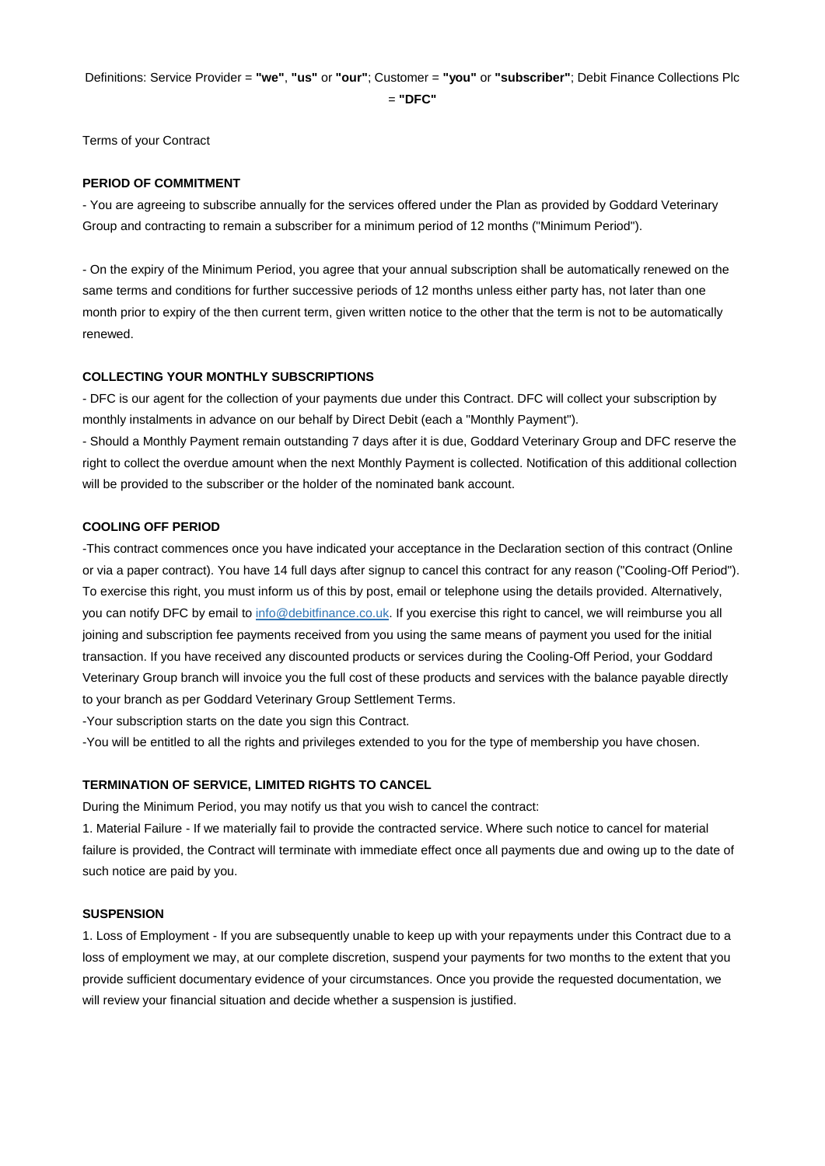Definitions: Service Provider = **"we"**, **"us"** or **"our"**; Customer = **"you"** or **"subscriber"**; Debit Finance Collections Plc

= **"DFC"**

Terms of your Contract

### **PERIOD OF COMMITMENT**

- You are agreeing to subscribe annually for the services offered under the Plan as provided by Goddard Veterinary Group and contracting to remain a subscriber for a minimum period of 12 months ("Minimum Period").

- On the expiry of the Minimum Period, you agree that your annual subscription shall be automatically renewed on the same terms and conditions for further successive periods of 12 months unless either party has, not later than one month prior to expiry of the then current term, given written notice to the other that the term is not to be automatically renewed.

### **COLLECTING YOUR MONTHLY SUBSCRIPTIONS**

- DFC is our agent for the collection of your payments due under this Contract. DFC will collect your subscription by monthly instalments in advance on our behalf by Direct Debit (each a "Monthly Payment").

- Should a Monthly Payment remain outstanding 7 days after it is due, Goddard Veterinary Group and DFC reserve the right to collect the overdue amount when the next Monthly Payment is collected. Notification of this additional collection will be provided to the subscriber or the holder of the nominated bank account.

#### **COOLING OFF PERIOD**

-This contract commences once you have indicated your acceptance in the Declaration section of this contract (Online or via a paper contract). You have 14 full days after signup to cancel this contract for any reason ("Cooling-Off Period"). To exercise this right, you must inform us of this by post, email or telephone using the details provided. Alternatively, you can notify DFC by email t[o info@debitfinance.co.uk.](mailto:info@debitfinance.co.uk) If you exercise this right to cancel, we will reimburse you all joining and subscription fee payments received from you using the same means of payment you used for the initial transaction. If you have received any discounted products or services during the Cooling-Off Period, your Goddard Veterinary Group branch will invoice you the full cost of these products and services with the balance payable directly to your branch as per Goddard Veterinary Group Settlement Terms.

-Your subscription starts on the date you sign this Contract.

-You will be entitled to all the rights and privileges extended to you for the type of membership you have chosen.

#### **TERMINATION OF SERVICE, LIMITED RIGHTS TO CANCEL**

During the Minimum Period, you may notify us that you wish to cancel the contract:

1. Material Failure - If we materially fail to provide the contracted service. Where such notice to cancel for material failure is provided, the Contract will terminate with immediate effect once all payments due and owing up to the date of such notice are paid by you.

#### **SUSPENSION**

1. Loss of Employment - If you are subsequently unable to keep up with your repayments under this Contract due to a loss of employment we may, at our complete discretion, suspend your payments for two months to the extent that you provide sufficient documentary evidence of your circumstances. Once you provide the requested documentation, we will review your financial situation and decide whether a suspension is justified.